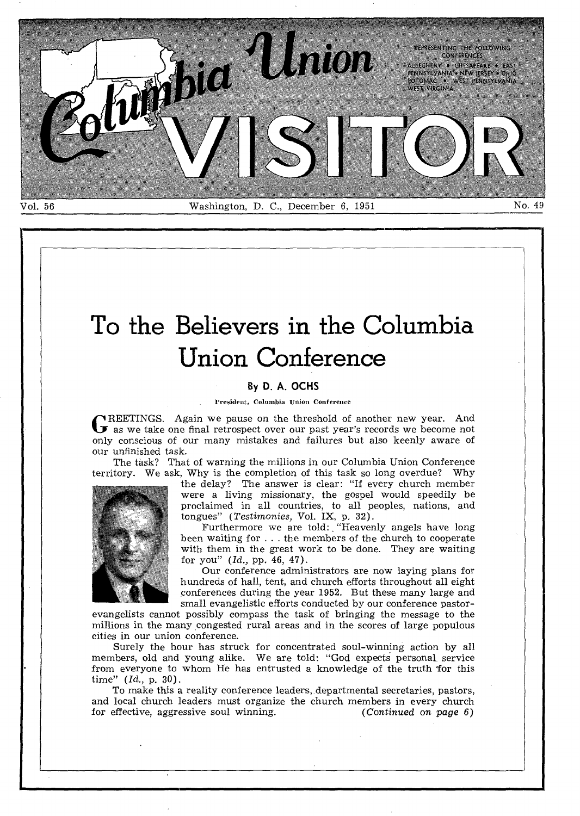

# **To the Believers in the Columbia Union Conference**

#### **By D. A. OCHS**

#### President, Columbia Union Conference

GREETINGS. Again we pause on the threshold of another new year. And as we take one final retrospect over our past year's records we become not **NREETINGS.** Again we pause on the threshold of another new year. And only conscious of our many mistakes and failures but also keenly aware of our unfinished task.

The task? That of warning the millions in our Columbia Union Conference territory. We ask, Why is the completion of this task so long overdue? Why



the delay? The answer is clear: "If every church member were a living missionary, the gospel would speedily be proclaimed in all countries, to all peoples, nations, and tongues" *(Testimonies,* Vol. IX, p. 32).

Furthermore we are told: "Heavenly angels have long been waiting for . . . the members of the church to cooperate with them in the great work to be done. They are waiting for you" *(Id.,* pp. 46, 47).

Our conference administrators are now laying plans for hundreds of hall, tent, and church efforts throughout all eight conferences during the year 1952. But these many large and small evangelistic efforts conducted by our conference pastor-

evangelists cannot possibly compass the task of bringing the message to the millions in the many congested rural areas and in the scores of large populous cities in our union conference.

Surely the hour has struck for concentrated soul-winning action by all members, old and young alike. We are told: "God expects personal service from everyone to whom He has entrusted a knowledge of the truth for this time" *(Id.,* p. 30).

To make this a reality conference leaders, departmental secretaries, pastors, and local church leaders must organize the church members in every church for effective, aggressive soul winning.  $(Continued\ on\ page\ 6)$ for effective, aggressive soul winning.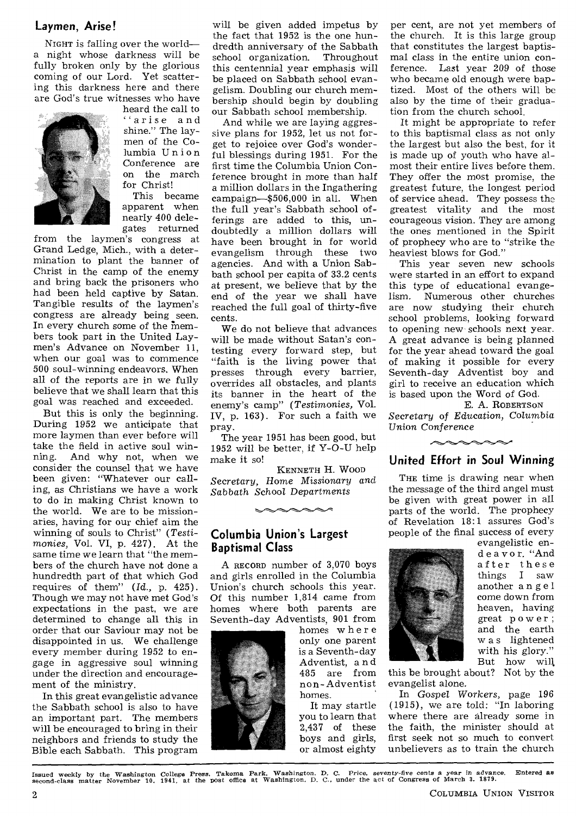#### **Laymen, Arise!**

NIGHT is falling over the world a night whose darkness will be fully broken only by the glorious coming of our Lord. Yet scattering this darkness here and there are God's true witnesses who have



heard the call to "arise and shine." The laymen of the Columbia Union Conference are on the march for Christ!

This became apparent when nearly 400 delegates returned

from the laymen's congress at Grand Ledge, Mich., with a determination to plant the banner of Christ in the camp of the enemy and bring back the prisoners who had been held captive by Satan. Tangible results of the laymen's congress are already being seen. In every church some of the members took part in the United Laymen's Advance on November 11, when our goal was to commence 500 soul-winning endeavors. When all of the reports are in we fully believe that we shall learn that this goal was reached and exceeded.

But this is only the beginning. During 1952 we anticipate that more laymen than ever before will take the field in active soul winning. And why not, when we consider the counsel that we have been given: "Whatever our calling, as Christians we have a work to do in making Christ known to the world. We are to be missionaries, having for our chief aim the winning of souls to Christ" *(Testimonies,* Vol. VI, p. 427). At the same time we learn that "the members of the church have not done a hundredth part of that which God requires of them" *(Id.,* p. 425). Though we may not have met God's expectations in the past, we are determined to change all this in order that our Saviour may not be disappointed in us. We challenge every member during 1952 to engage in aggressive soul winning under the direction and encouragement of the ministry.

In this great evangelistic advance the Sabbath school is also to have an important part. The members will be encouraged to bring in their neighbors and friends to study the Bible each Sabbath. This program

will be given added impetus by the fact that 1952 is the one hundredth anniversary of the Sabbath school organization. Throughout this centennial year emphasis will be placed on Sabbath school evangelism. Doubling our church membership should begin by doubling our Sabbath school membership.

And while we are laying aggressive plans for 1952, let us not forget to rejoice over God's wonderful blessings during 1951. For the first time the Columbia Union Conference brought in more than half a million dollars in the Ingathering campaign—\$506,000 in all. When the full year's Sabbath school offerings are added to this, undoubtedly a million dollars will have been brought in for world evangelism through these two agencies. And with a Union Sabbath school per capita of 33.2 cents at present, we believe that by the end of the year we shall have reached the full goal of thirty-five cents.

We do not believe that advances will be made without Satan's contesting every forward step, but "faith is the living power that presses through every barrier, overrides all obstacles, and plants its banner in the heart of the enemy's camp" *(Testimonies,* Vol. IV, p. 163). For such a faith we pray.

The year 1951 has been good, but 1952 will be better, if Y-O-U help make it so!

KENNETH H. WooD Secretary, Home *Missionary* and *Sabbath School Departments* 

 $\sim\sim\sim\sim$ 

#### **Columbia Union's Largest Baptismal Class**

A RECORD number of 3,070 boys and girls enrolled in the Columbia Union's church schools this year. Of this number 1,814 came from homes where both parents are Seventh-day Adventists, 901 from



homes wher e only one parent is a Seventh-day Adventist, a n d 485 are from non-Adventist homes.

It may startle you to learn that 2,437 of these boys and girls, or almost eighty

per cent, are not yet members of the church. It is this large group that constitutes the largest baptismal class in the entire union conference. Last year 209 of those who became old enough were baptized. Most of the others will be also by the time of their graduation from the church school.

It might be appropriate to refer to this baptismal class as not only the largest but also the best, for it is made up of youth who have almost their entire lives before them. They offer the most promise, the greatest future, the longest period of service ahead. They possess the greatest vitality and the most courageous vision. They are among the ones mentioned in the Spirit of prophecy who are to "strike the heaviest blows for God."

This year seven new schools were started in an effort to expand this type of educational evange-<br>lism. Numerous other churches Numerous other churches are now studying their church school problems, looking forward to opening new- schools next year. A great advance is being planned for the year ahead toward the goal of making it possible for every Seventh-day Adventist boy and girl to receive an education which is based upon the Word of God.

E. A. ROBERTSON Secretary of *Education, Columbia*  Union *Conference* 



**United Effort in Soul Winning** 

THE time is drawing near when the message of the third angel must be given with great power in all parts of the world. The prophecy of Revelation 18:1 assures God's people of the final success of every



evangelistic ende a v o r. "And after these things I saw another angel come down from heaven, having great power; and the earth w a s lightened with his glory." But how will

this be brought about? Not by the evangelist alone.

In Gospel *Workers,* page 196 (1915), we are told: "In laboring where there are already some in the faith, the minister should at first seek not so much to convert unbelievers as to train the church

Issued weekly by the Washington College Press, Takoma Park. Washington, D. C. Price, seventy-five cents a year in advance. Entered as<br>second-class matter November 10, 1941, at the post office at Washington. D. C., under th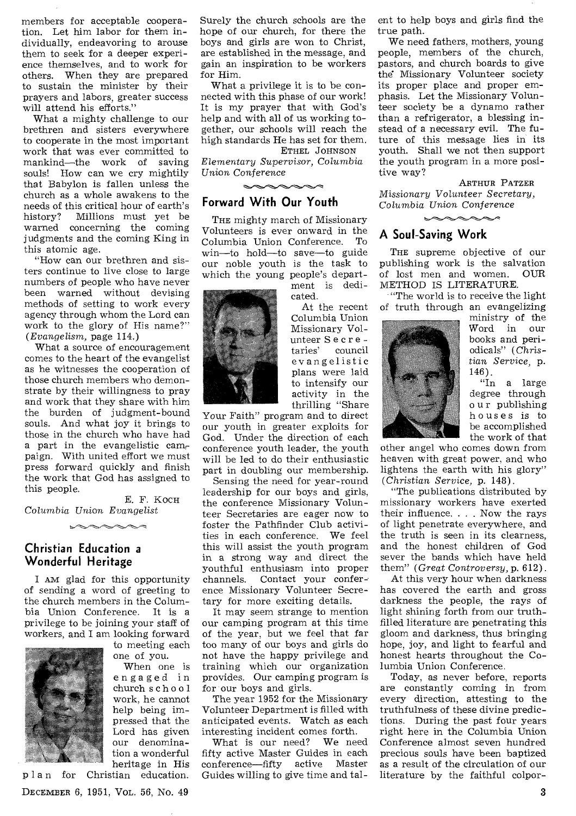members for acceptable cooperation. Let him labor for them individually, endeavoring to arouse them to seek for a deeper experience themselves, and to work for others. When they are prepared to sustain the minister by their prayers and labors, greater success will attend his efforts."

What a mighty challenge to our brethren and sisters everywhere to cooperate in the most important work that was ever committed to mankind—the work of saving souls! How can we cry mightily that Babylon is fallen unless the church as a whole awakens to the needs of this critical hour of earth's<br>history? Millions must yet be Millions must yet be warned concerning the coming judgments and the coming King in this atomic age.

"How can our brethren and sisters continue to live close to large numbers of people who have never been warned without devising methods of setting to work every agency through whom the Lord can work to the glory of His name?" *(Evangelism,* page 114.)

What a source of encouragement comes to the heart of the evangelist as he witnesses the cooperation of those church members who demonstrate by their willingness to pray and work that they share with him the burden of judgment-bound souls. And what joy it brings to those in the church who have had a part in the evangelistic campaign. With united effort we must press forward quickly and finish the work that God has assigned to this people.

E. F. KocH *Columbia Union Evangelist* 

 $\sim$ 

#### **Christian Education a Wonderful Heritage**

I AM glad for this opportunity of sending a word of greeting to the church members in the Columbia Union Conference. It is a privilege to be joining your staff of workers, and I am looking forward



to meeting each one of you.

When one is engaged in church school work, he cannot help being impressed that the Lord has given our denomination a wonderful heritage in His

plan for Christian education. DECEMBER 6, 1951, VOL. 56, No. 49  $\overline{3}$ 

Surely the church schools are the hope of our church, for there the boys and girls are won to Christ, are established in the message, and gain an inspiration to be workers for Him.

What a privilege it is to be connected with this phase of our work! It is my prayer that with God's help and with all of us working together, our schools will reach the high standards He has set for them.

ETHEL JOHNSON *Elementary Supervisor, Columbia*  Union Conference

### **Forward With Our Youth**

THE mighty march of Missionary Volunteers is ever onward in the Columbia Union Conference. To win—to hold—to save—to guide our noble youth is the task to which the young people's depart-

ment is dedicated.

At the recent Columbia Union Missionary Volunteer S e cr e taries' council evangelistic plans were laid to intensify our activity in the thrilling "Share

Your Faith" program and to direct our youth in greater exploits for God. Under the direction of each conference youth leader, the youth will be led to do their enthusiastic part in doubling our membership.

Sensing the need for year-round leadership for our boys and girls, the conference Missionary Volunteer Secretaries are eager now to foster the Pathfinder Club activities in each conference. We feel this will assist the youth program in a strong way and direct the youthful enthusiasm into proper channels. Contact your conference Missionary Volunteer Secretary for more exciting details.

It may seem strange to mention our camping program at this time of the year, but we feel that far too many of our boys and girls do not have the happy privilege and training which our organization provides. Our camping program is for our boys and girls.

The year 1952 for the Missionary Volunteer Department is filled with anticipated events. Watch as each interesting incident comes forth.

What is our need? fifty active Master Guides in each conference—fifty active Master Guides willing to give time and talent to help boys and girls find the true path.

We need fathers, mothers, young people, members of the church, pastors, and church boards to give the Missionary Volunteer society its proper place and proper emphasis. Let the Missionary Volunteer society be a dynamo rather than a refrigerator, a blessing instead of a necessary evil. The future of this message lies in its youth. Shall we not then support the youth program in a more positive way?

ARTHUR PATZER *Missionary Volunteer Secretary, Columbia Union Conference* 

#### **A Soul-Saving Work**

THE supreme objective of our publishing work is the salvation of lost men and women. OUR METHOD IS LITERATURE.

"The world is to receive the light of truth through an evangelizing



ministry of the Word in our books and periodicals" (Christian *Service,* p. 146).

"In a large degree through o u r publishing houses is to be accomplished the work of that

other angel who comes down from heaven with great power, and who lightens the earth with his glory" *(Christian Service,* p. 148).

"The publications distributed by missionary workers have exerted their influence. . . . Now the rays of light penetrate everywhere, and the truth is seen in its clearness, and the honest children of God sever the bands which have held them" *(Great Controversy,* p. 612).

At this very hour when darkness has covered the earth and gross darkness the people, the rays of light shining forth from our truthfilled literature are penetrating this gloom and darkness, thus bringing hope, joy, and light to fearful and honest hearts throughout the Columbia Union Conference.

Today, as never before, reports are constantly coming in from every direction, attesting to the truthfulness of these divine predictions. During the past four years right here in the Columbia Union Conference almost seven hundred precious souls have been baptized as a result of the circulation of our literature by the faithful colpor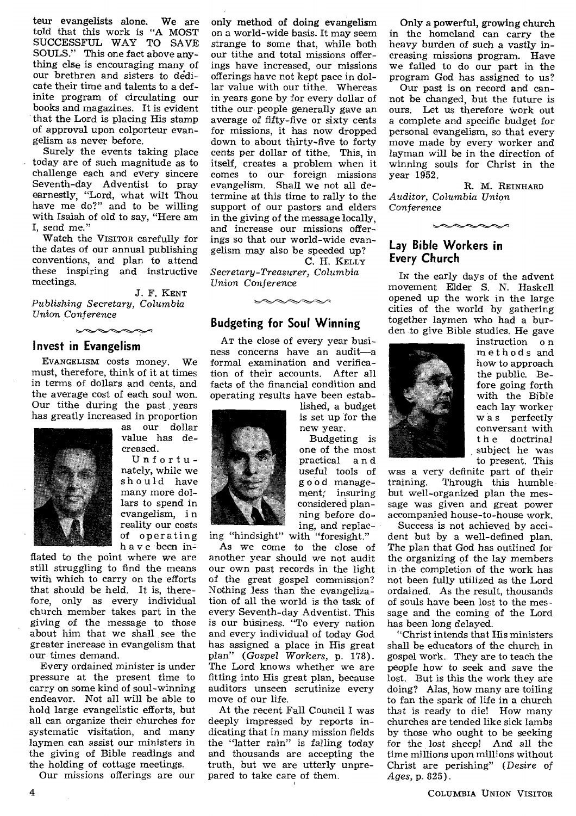teur evangelists alone. We are told that this work is "A MOST SUCCESSFUL WAY TO SAVE SOULS." This one fact above anything else is encouraging many of our brethren and sisters to dedicate their time and talents to a definite program of circulating our books and magazines. It is evident that the Lord is placing His stamp of approval upon colporteur evangelism as never before.

Surely the events taking place today are of such magnitude as to challenge each and every sincere Seventh-day Adventist to pray earnestly, "Lord, what wilt Thou have me do?" and to be willing with Isaiah of old to say, "Here am I, send me."

Watch the VISITOR carefully for the dates of our annual publishing conventions, and plan to attend these inspiring and instructive meetings.

J. F. KENT *Publishing Secretary, Columbia Union* Conference

#### **Invest in Evangelism**

EVANGELISM costs money. We must, therefore, think of it at times in terms of dollars and cents, and the average cost of each soul won. Our tithe during the past years has greatly increased in proportion



as our dollar value has decreased.

Unfortunately, while we should have many more dollars to spend in evangelism, i n reality our costs of operating have been in-

flated to the point where we are still struggling to find the means with which to carry on the efforts that should be held. It is, therefore, only as every individual church member takes part in the giving of the message to those about him that we shall see the greater increase in evangelism that our times demand.

Every ordained minister is under pressure at the present time to carry on some kind of soul-winning endeavor. Not all will be able to hold large evangelistic efforts, but all can organize their churches for systematic visitation, and many laymen can assist our ministers in the giving of Bible readings and the holding of cottage meetings.

Our missions offerings are our

only method of doing evangelism on a world-wide basis. It may seem strange to some that, while both our tithe and total missions offerings have increased, our missions offerings have not kept pace in dollar value with our tithe. Whereas in years gone by for every dollar of tithe our people generally gave an average of fifty-five or sixty cents for missions, it has now dropped down to about thirty-five to forty cents per dollar of tithe. This, in itself, creates a problem when it comes to our foreign missions evangelism. Shall we not all determine at this time to rally to the support of our pastors and elders in the giving of the message locally, and increase our missions offerings so that our world-wide evangelism may also be speeded up? C. H. KELLY

*Secretary-Treasurer, Columbia Union* Conference

#### **Budgeting for Soul Winning**

AT the close of every year business concerns have an audit—a formal examination and verification of their accounts. After all facts of the financial condition and operating results have been estab-

lished, a budget is set up for the new year.

Budgeting is one of the most practical a n d useful tools of good management; insuring considered planning before doing, and replac-

Only a powerful, growing church in the homeland can carry the heavy burden of such a vastly increasing missions program. Have we failed to do our part in the program God has assigned to us?

Our past is on record and cannot be changed, but the future is ours. Let us therefore work out a complete and specific budget for personal evangelism, so that every move made by every worker and layman will be in the direction of winning souls for Christ in the year 1952.

R. M. REINHARD *Auditor, Columbia Union Conference* 

 $\sim$ 

#### **Lay Bible Workers in Every Church**

IN the early days of the advent movement Elder S. N. Haskell opened up the work in the large cities of the world by gathering together laymen who had a burden -to give Bible studies. He gave



instruction o n methods and how to approach the public. Before going forth with the Bible each lay worker w a s perfectly conversant with t h e doctrinal subject he was to present. This

was a very definite part of their<br>training. Through this humble Through this humble but well-organized plan the message was given and great power accompanied house-to-house work.

Success is not achieved by accident but by a well-defined plan. The plan that God has outlined for the organizing of the lay members in the completion of the work has not been fully utilized as the Lord ordained. As the result, thousands of souls have been lost to the message and the coming of the Lord has been long delayed.

"Christ intends that His ministers shall be educators of the church in gospel work. They are to teach the people how to seek and save the lost. But is this the work they are doing? Alas, how many are toiling to fan the spark of life in a church that is ready to die! How many churches are tended like sick lambs by those who ought to be seeking for the lost sheep! And all the time millions upon millions without Christ are perishing" *(Desire* of *Ages,* p. 825).

4 COLUMBIA UNION VISITOR



ing "hindsight" with "foresight."

As we come to the close of another year should we not audit our own past records in the light of the great gospel commission? Nothing *less* than the evangelization of all the world is the task of every Seventh-day Adventist. This is our business. "To every nation and every individual of today God has assigned a place in His great plan" *(Gospel Workers,* p. 178). The Lord knows whether we are fitting into His great plan, because auditors unseen scrutinize every move of our life.

At the recent Fall Council I was deeply impressed by reports indicating that in many mission fields the "latter rain" is falling today and thousands are accepting the truth, but we are utterly unprepared to take care of them.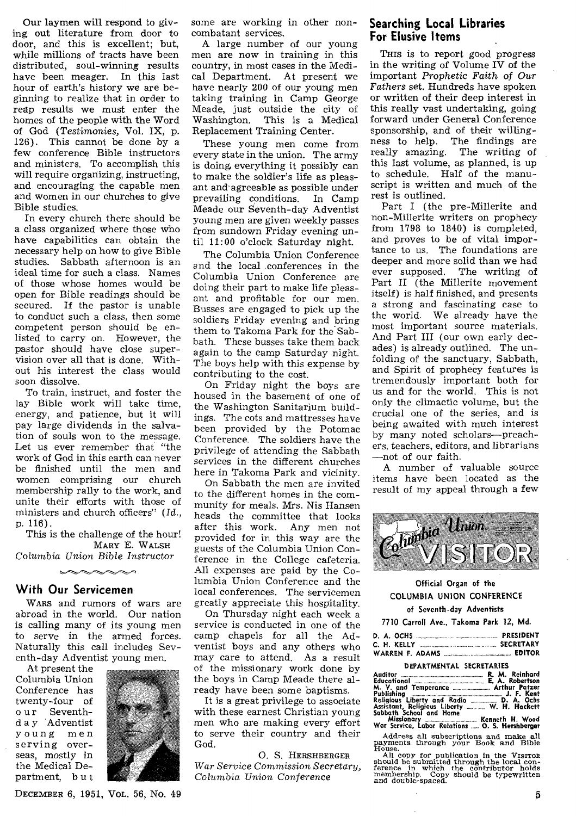Our laymen will respond to giving out literature from door to door, and this is excellent; but, while millions of tracts have been distributed, soul-winning results have been meager. In this last hour of earth's history we are beginning to realize that in order to reap results we must enter the homes of the people with the Word of God (Testimonies, Vol. IX, p. 126). This cannot be done by a few conference Bible instructors and ministers. To accomplish this will require organizing, instructing, and encouraging the capable men and women in our churches to give Bible studies.

In every church there should be a class organized where those who have capabilities can obtain the necessary help on how to give Bible studies. Sabbath afternoon is an ideal time for such a class. Names of those whose homes would be open for Bible readings should be secured. If the pastor is unable to conduct such a class, then some competent person should be enlisted to carry on. However, the pastor should have close supervision over all that is done. Without his interest the class would soon dissolve.

To train, instruct, and foster the lay Bible work will take time, energy, and patience, but it will pay large dividends in the salvation of souls won to the message. Let us ever remember that "the work of God in this earth can never be finished until the men and women comprising our church membership rally to the work, and unite their efforts with those of ministers and church officers" *(Id.,*  p. 116).

This is the challenge of the hour! MARY E. **WALSH**  *Columbia Union Bible Instructor* 

 $\sim$ 

#### **With Our Servicemen**

**WARS** and rumors of wars are abroad in the world. Our nation is calling many of its young men to serve in the armed forces. Naturally this call includes Seventh-day Adventist young men.

At present the Columbia Union Conference has twenty-four of o ur Seventhd a y Adventist young men serving overseas, mostly in the Medical Department, b u t



some are working in other noncombatant services.

A large number of our young men are now in training in this country, in most cases in the Medical Department. At present we have nearly 200 of our young men taking training in Camp George Meade, just outside the city of<br>Washington. This is a Medical This is a Medical Replacement Training Center.

These young men come from every state in the union. The army is doing, everything it possibly can to make the soldier's life as pleasant and-agreeable as possible under prevailing conditions. In Camp Meade our Seventh-day Adventist young men are given weekly passes from sundown Friday evening until 11:00 o'clock Saturday night.

The Columbia Union Conference and the local .conferences in the Columbia Union Conference are doing their part to make life pleasant and profitable for our men. Busses are engaged to pick up the soldiers Friday evening and bring them to Takoma Park for the Sabbath. These busses take them back again to the camp Saturday night. The boys help with this expense by contributing to the cost.

On Friday night the boys are housed in the basement of one of the Washington Sanitarium buildings. The cots and mattresses have been provided by the Potomac Conference. The soldiers have the privilege of attending the Sabbath services in the different churches here in Takoma Park and vicinity.

On Sabbath the men are invited to the different homes in the community for meals. Mrs. Nis Hansen heads the committee that looks after this work. Any men not provided for in this way are the guests of the Columbia Union Conference in the College cafeteria. All expenses are paid by the Columbia Union Conference and the local conferences. The servicemen greatly appreciate this hospitality.

On Thursday night each week a service is conducted in one of the camp chapels for all the Adventist boys and any others who may care to attend. As a result of the missionary work done by the boys in Camp Meade there already have been some baptisms.

It is a great privilege to associate with these earnest Christian young men who are making every effort to serve their country and their God.

0. S. **HERSHBERGER**  *War Service Commission Secretary, Columbia Union Conference* 

#### **Searching Local Libraries For Elusive Items**

THIS is to report good progress in the writing of Volume IV of the important *Prophetic Faith of Our Fathers* set. Hundreds have spoken or written of their deep interest in this really vast undertaking, going forward under General Conference sponsorship, and of their willingness to help. The findings are really amazing. The writing of this last volume, as planned, is up to schedule. Half of the manuscript is written and much of the rest is outlined.

Part I (the pre-Millerite and non-Millerite writers on prophecy from 1798 to 1840) is completed, and proves to be of vital importance to us. The foundations are deeper and more solid than we had ever supposed. The writing of Part II (the Millerite movement itself) is half finished, and presents a strong and fascinating case to the world. We already have the most important source materials. And Part III (our own early decades) is already outlined. The unfolding of the sanctuary, Sabbath, and Spirit of prophecy features is tremendously important both for us and for the world. This is not only the climactic volume, but the crucial one of the series, and is being awaited with much interest by many noted scholars—preachers, teachers, editors, and librarians —not of our faith.

A number of valuable source items have been located as the result of my appeal through a few



#### **Official Organ of the COLUMBIA UNION CONFERENCE**

#### **of Seventh-day Adventists**

**7710 Carroll Ave., Takoma Park 12, Md.** 

|  |  | PRESIDENT |
|--|--|-----------|
|  |  |           |
|  |  | EDITOR    |

| Educational <b>Educational</b> E. A. Robertson                                                                                                                                                                                                           |                       |
|----------------------------------------------------------------------------------------------------------------------------------------------------------------------------------------------------------------------------------------------------------|-----------------------|
|                                                                                                                                                                                                                                                          |                       |
| Publishing <b>Commission</b> D. F. Kent                                                                                                                                                                                                                  |                       |
| Religious Liberty and Radio  D. A. Ochs                                                                                                                                                                                                                  |                       |
| Assistant, Religious Liberty  W. H. Hackett                                                                                                                                                                                                              |                       |
| Sabbath School and Home<br>Address to the second contract of the second contract of the second contract of the second contract of the second contract of the second contract of the second contract of the second contract of the second contract of the | $M = -1$ and $M = -1$ |
|                                                                                                                                                                                                                                                          |                       |

**Missionary Kenneth H. Wood War Service, Labor Relations ...... O. S. Hershberger** 

Address all subscriptions and make all payments through your Book and Bible House.

All copy for publication in the VISITOR should be submitted through the local con-<br>ference in which the contributor holds<br>membership. Copy should be typewritten<br>and double-spaced.

DECEMBER 6, 1951, VoL. 56, No. 49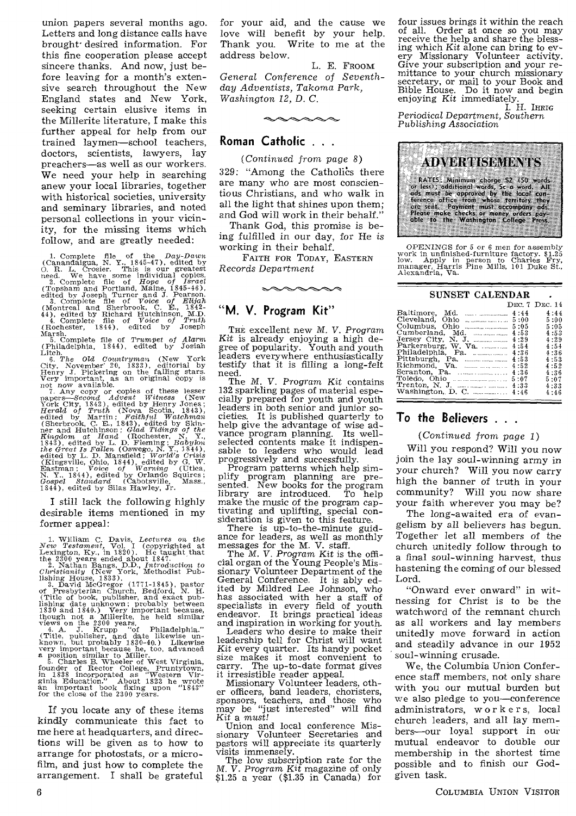union papers several months ago. Letters and long distance calls have brought-desired information. For this fine cooperation please accept sincere thanks. And now, just before leaving for a month's extensive search throughout the New England states and New York, seeking certain elusive items in the Millerite literature, I make this further appeal for help from our trained laymen—school teachers, doctors, scientists, lawyers, lay preachers—as well as our workers. We need your help in searching anew your local libraries, together with historical societies, university and seminary libraries, and noted personal collections in your vicinity, for the missing items which follow, and are greatly needed:

1. Complete file of the *Day-Dawn*<br>(Canandaigua, N. Y., 1845-47), edited by<br>O. R. L. Crosier. This is our greatest<br>need. We have some individual copies.<br>2. Complete file of *Hope of Israel*<br>(Topsham and Portland Maine, 18

Marsh. 5. Complete file of *Trumpet of* Alarm

Chiladelphia, 1844), edited by Josiah<br>
Litch.<br>
Chiladelphia, 1844), edited by Josiah<br>
Litch.<br>
City, November 20, 1833), editorial by<br>
Girly, November 20, 1833), editorial by<br>
Fireny J. Pickering on the falling stars.<br>
Henr

I still lack the following highly desirable items mentioned in my former appeal:

1. William C. Davis, Lectures on the New Testament, Vol. I (copyrighted at the 2300 vears ended about 1847.<br>Lexington, Ky, in 1820). He taught that the 2300 vears ended about 1847.<br>2. Nathan Bangs, D.D., Introduction to C

If you locate any of these items kindly communicate this fact to me here at headquarters, and directions will be given as to how to arrange for photostats, or a microfilm, and just how to complete the arrangement. I shall be grateful for your aid, and the cause we love will benefit by your help.<br>Thank you. Write to me at the Write to me at the address below.

L. E. FROOM *General Conference of Seventhday Adventists, Takoma Park, Washington 12, D. C.* 

 $\sim$ 

#### **Roman Catholic . . .**

(Continued *from page 8)*  329: "Among the Catholics there are many who are most conscientious Christians, and who walk in all the light that shines upon them;

and God will work in their behalf." Thank God, this promise is being fulfilled in our day, for He *is*  working in their behalf.

FAITH FOR TODAY, EASTERN *Records Department* 

 $\sim\!\!\infty\!\!$ 

#### **"M. V. Program Kit"**

THE excellent new *M. V. Program Kit* is already enjoying a high de-gree of popularity. Youth and youth leaders everywhere enthusiastically testify that it is filling a long-felt need.

The M. *V.* Program Kit contains 132 sparkling pages of material especially prepared for youth and youth leaders in both senior and junior societies. It is published quarterly to help give the advantage of wise advance program planning. Its wellvance program planning. selected contents make it indispensable to leaders who would lead progressively and successfully.

Program patterns which help simplify program planning are presented. New books for the program library are introduced. To help make the music of the program captivating and uplifting, special consideration is given to this feature.

There is up-to-the-minute guid-ance for leaders, as well as monthly messages for the M. V. staff.

The *M. V.* Program *Kit* is the official organ of the Young People's Missionary Volunteer Department of the General Conference. It is ably edited by Mildred Lee Johnson, who has associated with her a staff of specialists in every field of youth endeavor. It brings practical ideas and inspiration in working for youth.

Leaders who desire to make their leadership tell for Christ will want *Kit* every quarter. Its handy pocket size makes it most convenient to carry. The up-to-date format gives it irresistible reader appeal.

Missionary Volunteer leaders, other officers, band leaders, choristers, sponsors, teachers, and those who sponsors, teachers, and those who may be "just interested" will find *Kit* a *must!* 

Union and local conference Mis-sionary Volunteer Secretaries and pastors will appreciate its quarterly visits immensely.

The low subscription rate for the *M.* V. Program Kit magazine of only \$1.25 a year (\$1.35 in Canada) for

four issues brings it within the reach<br>of all. Order at once so you may Order at once so you may receive the help and share the blessing which *Kit* alone can bring to every Missionary Volunteer activity. Give your subscription and your remittance to your church missionary secretary, or mail to your Book and Bible House. Do it now and begin enjoying *Kit* immediately.

I. H. IHRIG *Periodical Department, Southern Publishing Association* 



OPENINGS for 5 or 6 men for assembly work in unfinished-furniture factory. 51.25 low. Apply in person to Charles Fry, manager, Harris Pine Mills, 101 Duke St., Alexandria, Va.

| SUNSET CALENDAR                                                                                                                                                      |                                                      |
|----------------------------------------------------------------------------------------------------------------------------------------------------------------------|------------------------------------------------------|
|                                                                                                                                                                      | DEC. 7 DEC. 14                                       |
| Cleveland, Ohio<br>5:00<br>and construction section in a con-<br>5:05<br>Cumberland, Md.<br>4:53<br>4:29<br>Parkersburg, W. Va.<br>4:54<br>Philadelphia, Pa.<br>4:36 | 4:44<br>5:00<br>5:05<br>4:53<br>4:29<br>4:54<br>4:36 |
| 4:53<br>4:52<br>4:36<br>5:07                                                                                                                                         | 4:53<br>4:52<br>4:36<br>5:07<br>4:33<br>4:46         |

#### **To the Believers . .**

#### (Continued from *page 1)*

Will you respond? Will you now join the lay soul-winning army in your church? Will you now carry high the banner of truth in your community? Will you now share your faith wherever you may be?

The long-awaited era of evangelism by all believers has begun. Together let all members of the church unitedly follow through to a final soul-winning harvest, thus hastening the coming of our blessed Lord.

"Onward ever onward" in witnessing for Christ is to be the watchword of the remnant church as all workers and lay members unitedly move forward in action and steadily advance in our 1952 soul-winning crusade.

We, the Columbia Union Conference staff members, not only share with you our mutual burden but we also pledge to you—conference administrators, worker s, local church leaders, and all lay members—our loyal support in our mutual endeavor to double our membership in the shortest time possible and to finish our Godgiven task.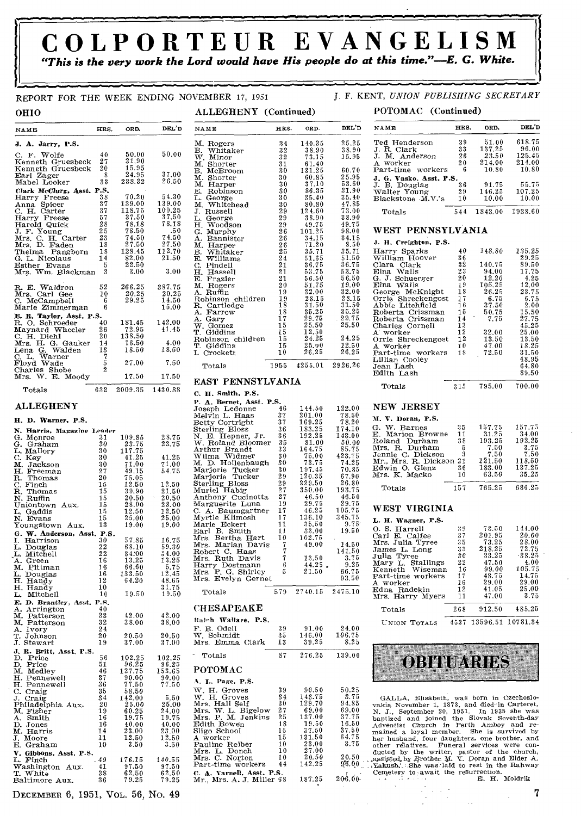## **COLPORTEUR EVANGELISM**  *"This is the very work the Lord would have His people do at this time."-E. G. White.*

#### REPORT FOR THE WEEK ENDING NOVEMBER 17, 1951 J. F. KENT, *UNION PUBLISHING SECRETARY*

| OHIO                                                                                                                                                                 |                                                                                                   |                                                                     | ALLEGHENY (Continued)                                                                                                                                                                            |                                                          |                                                                                               |                                                                                           | POTOMAC (Continued)                                                                                                                                                                                                                                                                                                                                                           |                                                     |                                                                                 |                                                                                   |
|----------------------------------------------------------------------------------------------------------------------------------------------------------------------|---------------------------------------------------------------------------------------------------|---------------------------------------------------------------------|--------------------------------------------------------------------------------------------------------------------------------------------------------------------------------------------------|----------------------------------------------------------|-----------------------------------------------------------------------------------------------|-------------------------------------------------------------------------------------------|-------------------------------------------------------------------------------------------------------------------------------------------------------------------------------------------------------------------------------------------------------------------------------------------------------------------------------------------------------------------------------|-----------------------------------------------------|---------------------------------------------------------------------------------|-----------------------------------------------------------------------------------|
| NAME                                                                                                                                                                 | HRS.<br>ORD,                                                                                      | DEL'D                                                               | NAME                                                                                                                                                                                             | HRS.                                                     | ORD.                                                                                          | DEL'D                                                                                     | NAME                                                                                                                                                                                                                                                                                                                                                                          | HRS.                                                | ORD.                                                                            | DEL'D                                                                             |
| J. A. Jarry, P.S.<br>C. F. Wolfe<br>Kenneth Gruesbeck<br>Kenneth Gruesbeck                                                                                           | 50.00<br>40<br>31,90<br>27<br>15.95<br>20                                                         | 50.00                                                               | M. Rogers<br>B. Whitaker<br>W. Minor<br>M. Shorter<br>B. McBroom                                                                                                                                 | 34<br>32<br>32<br>31<br>30                               | 140.35<br>38.90<br>73.15<br>61.40<br>131.25                                                   | 25.25<br>38.90<br>15.95<br>60.70                                                          | Ted Henderson<br>J. R. Clark<br>J. M. Anderson<br>A worker<br>Part-time workers                                                                                                                                                                                                                                                                                               | 39<br>33<br>26<br>20<br>6                           | 51.00<br>137.25<br>23.50<br>214.00<br>10.80                                     | 618.75<br>96.00<br>125.45<br>214.00<br>10.80                                      |
| Earl Zager<br>Mabel Looker<br>Clark McClurg, Asst. P.S.<br>Harry Freese<br>Anna Spicer                                                                               | 8<br>24.95<br>33<br>238.32<br>70.20<br>38<br>139.00<br>37                                         | 37.00<br>26.50<br>54.30<br>139.00                                   | M. Shorter<br>M. Harper<br>E. Robinson<br>L. George<br>M. Whitehead                                                                                                                              | 30<br>30<br>30<br>30<br>30                               | 60.85<br>37.10<br>86.35<br>35.40<br>80.80                                                     | 25.95<br>53.60<br>31.90<br>35.40<br>47.85                                                 | J. G. Vasko. Asst. P.S.<br>J. B. Douglas<br>Walter Young<br>Blackstone M.V.'s                                                                                                                                                                                                                                                                                                 | 36<br>29<br>10                                      | 91.75<br>146.25<br>10.00                                                        | 55.75<br>107.25<br>10.00                                                          |
| C. H. Carter<br>Harry Freese                                                                                                                                         | 118.75<br>37<br>37.50<br>57                                                                       | 100.25<br>37.50                                                     | J. Russell<br>L. George                                                                                                                                                                          | 29<br>29                                                 | 124.60<br>38.90                                                                               | 73.00<br>38.90                                                                            | Totals                                                                                                                                                                                                                                                                                                                                                                        | 544                                                 | 1843.00                                                                         | 1938.60                                                                           |
| Harold Quick<br>J. F. Young<br>Mrs. C. H. Carter                                                                                                                     | 78.18<br>28<br>25<br>78.50<br>23<br>74.50                                                         | 78,18<br>.50<br>74.50                                               | H. Woodson<br>G. Murphy<br>A. Bannister                                                                                                                                                          | 29<br>26<br>26                                           | 49.75<br>101.25<br>34.15                                                                      | 49.75<br>98.00<br>34.15                                                                   | WEST PENNSYLVANIA                                                                                                                                                                                                                                                                                                                                                             |                                                     |                                                                                 |                                                                                   |
| Mrs. D. Faden<br>Thelma Pangborn                                                                                                                                     | 27.50<br>18<br>128.45<br>18                                                                       | 27.50<br>112.70                                                     | M. Harper<br>B. Whitaker                                                                                                                                                                         | 26<br>25                                                 | 71.20<br>35.71                                                                                | 8.50<br>35.71                                                                             | J. H. Creighton. P.S.<br>Harry Sparks                                                                                                                                                                                                                                                                                                                                         | 40                                                  | 148.80                                                                          | 135.25                                                                            |
| G. L. Nicolaus<br>Esther Evans<br>Mrs. Wm. Blackman                                                                                                                  | 14<br>82.00<br>22.50<br>5<br>3<br>3.00                                                            | 21.50<br>3.00                                                       | E. Williams<br>C. Pindell<br>H. Hassell<br>E. Frazier                                                                                                                                            | 24<br>21<br>21<br>21                                     | 51.65<br>36.75<br>53.75<br>56.50                                                              | 51.50<br>36.75<br>53.75<br>56.50                                                          | William Hoover<br>Clara Clark<br>Elna Walls<br>G. J. Schuerger                                                                                                                                                                                                                                                                                                                | 36<br>32<br>23<br>20                                | 140.75<br>94.00<br>12.20                                                        | 29.25<br>89.50<br>17.75<br>4.25                                                   |
| R. E. Waldron<br>Mrs. Carl Gee<br>C. McCampbell<br>Marie Zimmerman<br>E. R. Taylor, Asst. P.S.                                                                       | 52<br>266.25<br>20.25<br>10<br>29.25<br>6<br>6                                                    | 387.75<br>20.25<br>14.50<br>15.00                                   | M. Rogers<br>A. Ruffin<br>Robinson children<br>R. Cartledge<br>A. Farrow                                                                                                                         | $20\,$<br>19<br>19<br>18<br>18                           | 51.75<br>32.00<br>28.15<br>31.50<br>35.25                                                     | 19.00<br>32.00<br>28.15<br>31.50<br>35.25                                                 | Elna Walls<br>George McKnight<br>Orrie Shreckengost<br>Abbie Litchfield<br>Roberta Crissman                                                                                                                                                                                                                                                                                   | 19<br>18<br>17<br>16<br>15                          | 105.25<br>26.25<br>6.75<br>37.50<br>50.75                                       | 12.00<br>23.75<br>6.75<br>2.00<br>15.50                                           |
| R. O. Schroeder<br>Maynard Wheeler<br>C. H. Diehl<br>Mrs. H. G. Gauker                                                                                               | 181.45<br>40<br>72.95<br>26<br>$20\,$<br>138.50<br>16.50<br>14                                    | 142.00<br>41.45<br>4.00                                             | A. Gary<br>W. Gomez<br>T. Giddins<br>Robinson children<br>T. Giddins                                                                                                                             | 17<br>15<br>15<br>15<br>15                               | 29.75<br>25.50<br>12.50<br>24.25<br>25.00                                                     | 29.75<br>25.50<br>24.25<br>12.50                                                          | Roberta Crissman<br>Charles Cornell<br>A worker<br>Orrie Shreckengost<br>A worker                                                                                                                                                                                                                                                                                             | 14<br>13<br>12<br>12<br>10                          | 7.75<br>32.00<br>13.50<br>47.00                                                 | 27.75<br>45.25<br>25.00<br>13.50<br>18.25                                         |
| Lena G. Walden<br>C. L. Warner<br>Floyd Wade                                                                                                                         | 13<br>18.50<br>7<br>27.00<br>5                                                                    | 18.50<br>7.50                                                       | I. Crockett                                                                                                                                                                                      | 10                                                       | 26.25                                                                                         | 26.25                                                                                     | Part-time workers<br>Lillian Cooley                                                                                                                                                                                                                                                                                                                                           | 18                                                  | 72.50                                                                           | 31.50<br>48.95                                                                    |
| Charles Shobe<br>Mrs. W. E. Moody                                                                                                                                    | $\boldsymbol{2}$<br>17.50                                                                         | 17.50                                                               | Totals                                                                                                                                                                                           | 1955                                                     | 4255.01                                                                                       | 2926.26                                                                                   | Jean Lash<br>Edith Lash                                                                                                                                                                                                                                                                                                                                                       |                                                     |                                                                                 | 64.80<br>89.50                                                                    |
| 632<br>Totals                                                                                                                                                        | 2009.35                                                                                           | 1430.88                                                             | EAST PENNSYLVANIA<br>C. H. Smith, P.S.                                                                                                                                                           |                                                          |                                                                                               |                                                                                           | Totals                                                                                                                                                                                                                                                                                                                                                                        | 315                                                 | 795.00                                                                          | 700.00                                                                            |
| <b>ALLEGHENY</b>                                                                                                                                                     |                                                                                                   |                                                                     | P. A. Bernet, Asst. P.S.<br>Joseph Ledonne                                                                                                                                                       | 46                                                       | 144.50                                                                                        | 122.00                                                                                    | NEW JERSEY                                                                                                                                                                                                                                                                                                                                                                    |                                                     |                                                                                 |                                                                                   |
| H. D. Warner, P.S.<br>N. Harris, Magazine Leader<br>G. Monroe<br>G. Graham<br>L. Mallory<br>C. Key<br>M. Jackson<br>H. Freeman<br>27<br>R. Thomas                    | 31<br>109.85<br>23.75<br>30<br>30<br>117.75<br>30<br>41.25<br>30<br>71.00<br>49.15<br>20<br>75.05 | 28.75<br>23.75<br>41.25<br>71.00<br>54.75                           | Melvin L. Haas<br>Betty Cortright<br><b>Sterling Bloss</b><br>N. E. Hepner, Jr.<br>W. Roland Bloomer<br>Arthur Brandt<br>Wilma Widmer<br>M. D. Hollenbaugh<br>Marjorie Tucker<br>Marjorie Tucker | 37<br>37<br>36<br>36<br>35<br>33<br>30<br>30<br>30<br>29 | 201.00<br>169.25<br>183.25<br>192.25<br>81.00<br>164.75<br>75.00<br>73.75<br>197.45<br>120.35 | 78.50<br>78.20<br>174.10<br>143.00<br>50.00<br>85.75<br>423.75<br>74.25<br>70.85<br>67.90 | M. V. Doran, P.S.<br>G. W. Barnes<br>E. Marion Browne<br>Roland Durham<br>Mrs. R. Durham<br>Jennie C. Dickson<br>Mr., Mrs. R. Dickson 21<br>Edwin O. Glenz<br>Mrs. K. Macko                                                                                                                                                                                                   | 35<br>11<br>38<br>5<br>3<br>36<br>10                | 157.75<br>31.25<br>193.25<br>7.50<br>7.50<br>121.50<br>183.00<br>63.50          | 157.75<br>34.00<br>192.25<br>3.75<br>7.50<br>118.50<br>137.25<br>35.25            |
| C. Finch<br>15<br>R. Thomas<br>N. Ruffin<br>Uniontown Aux.<br>15<br>L. Gaddis<br>N. Evans<br>Youngstown Aux.                                                         | 12.50<br>39.90<br>15<br>20.50<br>15<br>28.00<br>12.50<br>15<br>25.00<br>15<br>19.00<br>13         | 12.50<br>21,50<br>20.50<br>28.00<br>12.50<br>25.00<br>19.00         | <b>Sterling Bloss</b><br>Muriel Habig<br>Anthony Cucinotta<br>Marguerite Luna<br>C. A. Baumgartner<br>Myrtle Klimosh<br>Marie Eckert                                                             | 29<br>27<br>27<br>19<br>17<br>17<br>11                   | 229.50<br>350.00<br>46.50<br>29.75<br>46.25<br>136.10<br>35.50                                | 26.80<br>193.75<br>46.50<br>29.75<br>105.75<br>345.75<br>9.75                             | Totals<br>WEST VIRGINIA<br>L. H. Wagner, P.S.                                                                                                                                                                                                                                                                                                                                 | 157                                                 | 765.25                                                                          | 686.25                                                                            |
| G. W. Anderson, Asst. P.S.<br>I. Harrison<br>L. Douglas<br>22<br>L. Mitchell<br>16<br>A. Green<br>16<br>M. Pittman<br>16<br>L. Douglas<br>H. Handy<br>12<br>H. Handy | 57.85<br>30<br>22<br>68.10<br>34.00<br>13.25<br>66.60<br>133.50<br>64.20<br>10                    | 16.75<br>59.30<br>34.00<br>13.25<br>5.75<br>12.45<br>48.65<br>31.75 | Earl B. Smith<br>Mrs. Bertha Hart<br>Mrs. Marian Davis<br>Robert C. Haas<br>Mrs. Ruth Davis<br>Harry Dostmann<br>Mrs. P. G. Shirley<br>Mrs. Evelyn Gernet                                        | 11<br>10<br>7<br>7<br>7<br>6<br>5                        | 33.00<br>102.75<br>49.00<br>13.50<br>44.25.<br>21.50                                          | 19.50<br>14.50<br>141.50<br>3.75<br>9.25<br>66.75<br>93.50                                | O. S. Harrell<br>Carl E. Calfee<br>Mrs. Julia Tyree<br>James L. Long<br>Julia Tyree<br>Mary L. Stallings<br>Kenneth Wiseman<br>Part-time workers<br>A worker                                                                                                                                                                                                                  | 39<br>37<br>35<br>33<br>30<br>22<br>-16<br>17<br>16 | 73.50<br>201.95<br>73.25<br>218.25<br>33.25<br>47.50<br>99.00<br>48.75<br>29.00 | 144.00<br>20.00<br>28.00<br>72.75<br>$-38.25$<br>4.00<br>105.75<br>14.75<br>29.00 |
| L. Mitchell<br>E. D. Brantley, Asst. P.S.                                                                                                                            | 19.50<br>10                                                                                       | 19.50                                                               | Totals                                                                                                                                                                                           | 579                                                      | 2740.15 2475.10                                                                               |                                                                                           | Edna Radekin<br>Mrs. Harry Myers                                                                                                                                                                                                                                                                                                                                              | 12<br>11                                            | 41.05<br>47.00                                                                  | 25.00<br>3.75                                                                     |
| A. Arrington<br>M. Patterson<br>32<br>M. Patterson<br>A. Ivory<br>20                                                                                                 | 40<br>33<br>42.00<br>38.00<br>24                                                                  | 42.00<br>38.00                                                      | <b>CHESAPEAKE</b><br>Ralph Wallace, P.S.<br>F. B. Odell<br>W. Schmidt                                                                                                                            | 39<br>35                                                 | 91.00<br>146.00                                                                               | 24.00<br>106.75                                                                           | Totals<br>UNION TOTALS                                                                                                                                                                                                                                                                                                                                                        | 268                                                 | 912.50<br>4537 13596.51 10781.34                                                | 485.25                                                                            |
| T. Johnson<br>J. Stewart<br>19<br>J. R. Britt, Asst. P.S.                                                                                                            | 20.50<br>37.00                                                                                    | 20.50<br>37.00                                                      | Mrs. Emma Clark                                                                                                                                                                                  | 13                                                       | 39.25                                                                                         | 8.25                                                                                      |                                                                                                                                                                                                                                                                                                                                                                               |                                                     |                                                                                 |                                                                                   |
| D. Price<br>D. Price<br>M. Medley<br>46<br>37<br>H. Pennewell<br>36<br>H. Pennewell                                                                                  | 56<br>102.25<br>96.25<br>51<br>127.75<br>90.00<br>77.50                                           | 102.25<br>96.25<br>153.65<br>90.00<br>77.50                         | Totals<br>POTOMAC<br>A. L. Page, P.S.                                                                                                                                                            | 87                                                       | 276.25                                                                                        | 139.00                                                                                    | <b>OBITUARIES</b>                                                                                                                                                                                                                                                                                                                                                             |                                                     |                                                                                 |                                                                                   |
| 35<br>C. Craig<br>J. Craig<br>Philadelphia Aux.<br>34<br>19<br>M. Fisher<br>A. Smith<br>16<br>16<br>D. Jones<br>14<br>M. Harris<br>J. Moore<br>11<br>10<br>E. Graham | 58.50<br>142.00<br>20<br>25.00<br>60.25<br>19.75<br>40.00<br>23.00<br>12.50<br>3.50               | 5.50<br>25.00<br>24.00<br>19.75<br>40.00<br>23.00<br>12.50<br>3.50  | W. H. Groves<br>W. H. Groves<br>Mrs. Hall Self<br>Mrs. W. L. Bigelow<br>Mrs. P. M. Jenkins<br>Edith Bowen<br>Sligo School<br>A worker<br>Pauline Reiber                                          | 39<br>34<br>30<br>27<br>25<br>18<br>15<br>15<br>10<br>10 | 90.50<br>143.75<br>129.70<br>69.00<br>137.00<br>19.50<br>37.50<br>131.50<br>23.00<br>27.00    | 50.25<br>3.75<br>94.85<br>69.00<br>$37.75$<br>$16.50$<br>37.50<br>64.75<br>3.75           | GALLA, Elisabeth, was born in Czechoslo-<br>vakia November 1, 1873, and died in Carteret,<br>N. J., September 20, 1951. In 1935 she was<br>baptized and joined the Slovak Seventh-day<br>Adventist Church in Perth Amboy and re-<br>mained a loyal member. She is survived by<br>her husband, four daughters, one brother, and<br>other relatives. Funeral services were con- |                                                     |                                                                                 |                                                                                   |
| V. Gibbons, Asst. P.S.<br>.49<br>L. Finch<br>Washington Aux.<br>41<br>T. White<br>Baltimore Aux.<br>36                                                               | 176.15<br>97.50<br>38<br>62.50<br>79.25                                                           | 140.55<br>97.50<br>62.50<br>79.25                                   | Mrs. L. Donch<br>Mrs. C. Norton<br>Part-time workers<br>C. A. Yarnell, Asst. P.S.<br>Mr., Mrs. A. J. Miller 68                                                                                   | 10<br>44                                                 | 20.50<br>142.25<br>187.25                                                                     | 20.50<br>96.00<br>206.00                                                                  | ducted by the writer, pastor of the church,<br>assisted by Brother M. V. Doran and Elder A.<br>Xakush, She was laid to rest in the Rahway<br>Cemetery to await the resurrection.<br>وبالمترافع وأوارد وأجاروا                                                                                                                                                                 |                                                     | E. H. Moldrik                                                                   |                                                                                   |

#### DECEMBER 6, 1951, VOL. 56, No. 49 7